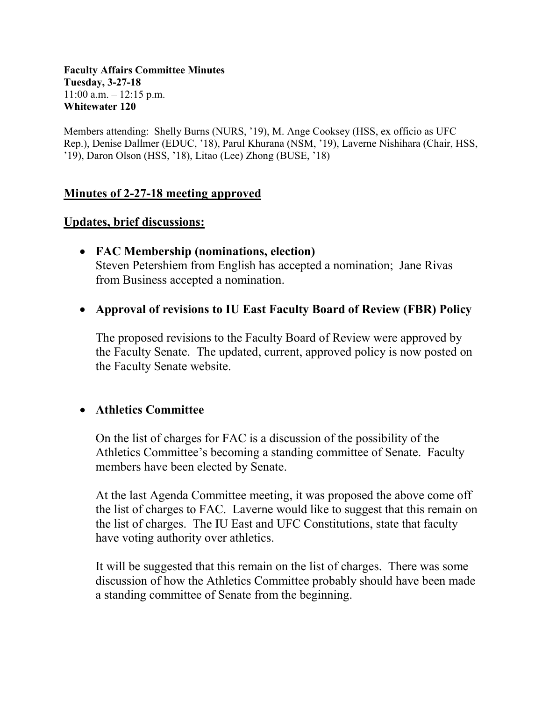#### **Faculty Affairs Committee Minutes Tuesday, 3-27-18**  $11:00$  a.m.  $-12:15$  p.m. **Whitewater 120**

Members attending: Shelly Burns (NURS, '19), M. Ange Cooksey (HSS, ex officio as UFC Rep.), Denise Dallmer (EDUC, '18), Parul Khurana (NSM, '19), Laverne Nishihara (Chair, HSS, '19), Daron Olson (HSS, '18), Litao (Lee) Zhong (BUSE, '18)

### **Minutes of 2-27-18 meeting approved**

### **Updates, brief discussions:**

- **FAC Membership (nominations, election)** Steven Petershiem from English has accepted a nomination; Jane Rivas from Business accepted a nomination.
- **Approval of revisions to IU East Faculty Board of Review (FBR) Policy**

The proposed revisions to the Faculty Board of Review were approved by the Faculty Senate. The updated, current, approved policy is now posted on the Faculty Senate website.

### • **Athletics Committee**

On the list of charges for FAC is a discussion of the possibility of the Athletics Committee's becoming a standing committee of Senate. Faculty members have been elected by Senate.

At the last Agenda Committee meeting, it was proposed the above come off the list of charges to FAC. Laverne would like to suggest that this remain on the list of charges. The IU East and UFC Constitutions, state that faculty have voting authority over athletics.

It will be suggested that this remain on the list of charges. There was some discussion of how the Athletics Committee probably should have been made a standing committee of Senate from the beginning.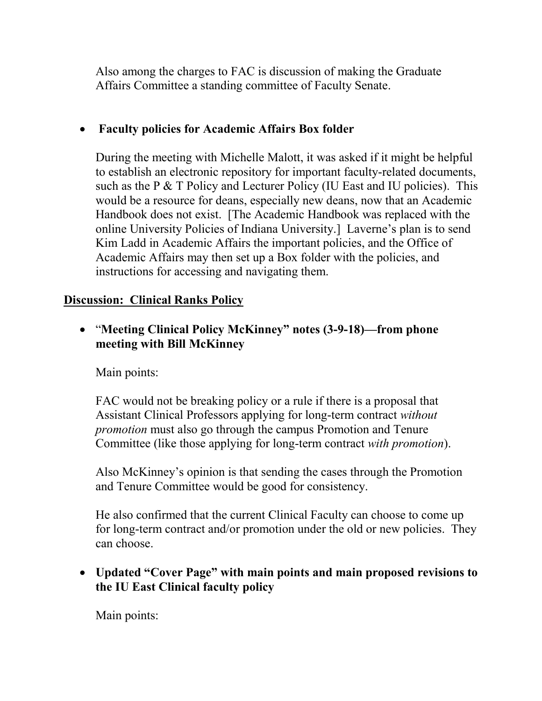Also among the charges to FAC is discussion of making the Graduate Affairs Committee a standing committee of Faculty Senate.

# • **Faculty policies for Academic Affairs Box folder**

During the meeting with Michelle Malott, it was asked if it might be helpful to establish an electronic repository for important faculty-related documents, such as the P & T Policy and Lecturer Policy (IU East and IU policies). This would be a resource for deans, especially new deans, now that an Academic Handbook does not exist. [The Academic Handbook was replaced with the online University Policies of Indiana University.] Laverne's plan is to send Kim Ladd in Academic Affairs the important policies, and the Office of Academic Affairs may then set up a Box folder with the policies, and instructions for accessing and navigating them.

## **Discussion: Clinical Ranks Policy**

• "**Meeting Clinical Policy McKinney" notes (3-9-18)—from phone meeting with Bill McKinney**

### Main points:

FAC would not be breaking policy or a rule if there is a proposal that Assistant Clinical Professors applying for long-term contract *without promotion* must also go through the campus Promotion and Tenure Committee (like those applying for long-term contract *with promotion*).

Also McKinney's opinion is that sending the cases through the Promotion and Tenure Committee would be good for consistency.

He also confirmed that the current Clinical Faculty can choose to come up for long-term contract and/or promotion under the old or new policies. They can choose.

# • **Updated "Cover Page" with main points and main proposed revisions to the IU East Clinical faculty policy**

Main points: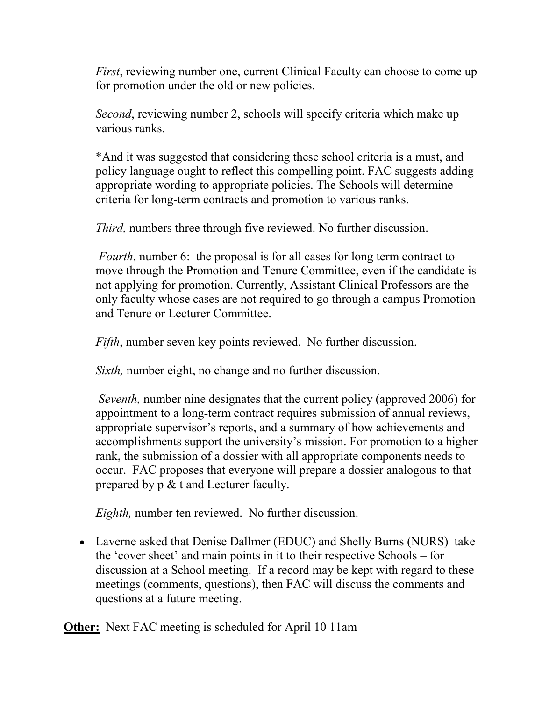*First*, reviewing number one, current Clinical Faculty can choose to come up for promotion under the old or new policies.

*Second*, reviewing number 2, schools will specify criteria which make up various ranks.

\*And it was suggested that considering these school criteria is a must, and policy language ought to reflect this compelling point. FAC suggests adding appropriate wording to appropriate policies. The Schools will determine criteria for long-term contracts and promotion to various ranks.

*Third,* numbers three through five reviewed. No further discussion.

*Fourth*, number 6: the proposal is for all cases for long term contract to move through the Promotion and Tenure Committee, even if the candidate is not applying for promotion. Currently, Assistant Clinical Professors are the only faculty whose cases are not required to go through a campus Promotion and Tenure or Lecturer Committee.

*Fifth*, number seven key points reviewed. No further discussion.

*Sixth,* number eight, no change and no further discussion.

*Seventh,* number nine designates that the current policy (approved 2006) for appointment to a long-term contract requires submission of annual reviews, appropriate supervisor's reports, and a summary of how achievements and accomplishments support the university's mission. For promotion to a higher rank, the submission of a dossier with all appropriate components needs to occur. FAC proposes that everyone will prepare a dossier analogous to that prepared by p & t and Lecturer faculty.

*Eighth,* number ten reviewed. No further discussion.

• Laverne asked that Denise Dallmer (EDUC) and Shelly Burns (NURS) take the 'cover sheet' and main points in it to their respective Schools – for discussion at a School meeting. If a record may be kept with regard to these meetings (comments, questions), then FAC will discuss the comments and questions at a future meeting.

**Other:** Next FAC meeting is scheduled for April 10 11am